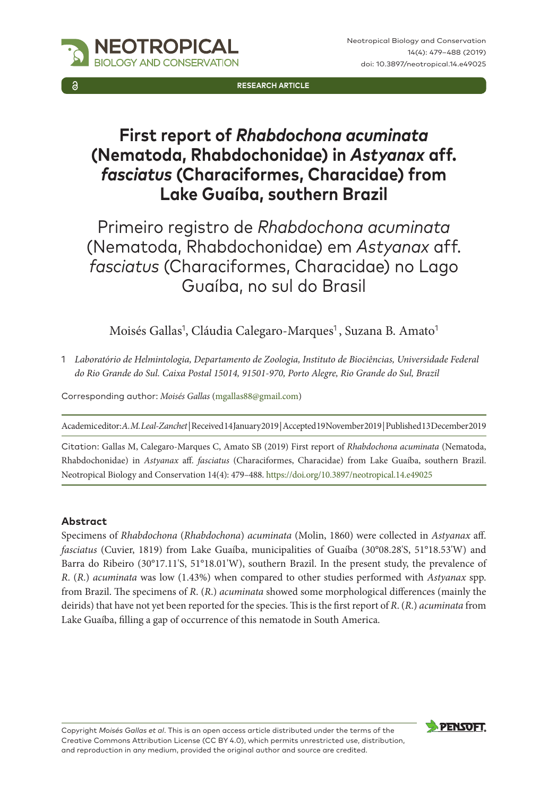

**RESEARCH ARTICLE**

# **First report of** *Rhabdochona acuminata* **(Nematoda, Rhabdochonidae) in** *Astyanax* **aff.**  *fasciatus* **(Characiformes, Characidae) from Lake Guaíba, southern Brazil**

Primeiro registro de *Rhabdochona acuminata* (Nematoda, Rhabdochonidae) em *Astyanax* aff. *fasciatus* (Characiformes, Characidae) no Lago Guaíba, no sul do Brasil

Moisés Gallas<sup>1</sup>, Cláudia Calegaro-Marques<sup>1</sup>, Suzana B. Amato<sup>1</sup>

1 *Laboratório de Helmintologia, Departamento de Zoologia, Instituto de Biociências, Universidade Federal do Rio Grande do Sul. Caixa Postal 15014, 91501-970, Porto Alegre, Rio Grande do Sul, Brazil*

Corresponding author: *Moisés Gallas* ([mgallas88@gmail.com\)](mailto:mgallas88@gmail.com)

Academic editor: *A. M. Leal-Zanchet* | Received 14 January 2019 | Accepted 19 November 2019 | Published 13 December 2019

Citation: Gallas M, Calegaro-Marques C, Amato SB (2019) First report of *Rhabdochona acuminata* (Nematoda, Rhabdochonidae) in *Astyanax* aff. *fasciatus* (Characiformes, Characidae) from Lake Guaíba, southern Brazil. Neotropical Biology and Conservation 14(4): 479–488.<https://doi.org/10.3897/neotropical.14.e49025>

#### **Abstract**

Specimens of *Rhabdochona* (*Rhabdochona*) *acuminata* (Molin, 1860) were collected in *Astyanax* aff. *fasciatus* (Cuvier, 1819) from Lake Guaíba, municipalities of Guaíba (30°08.28'S, 51°18.53'W) and Barra do Ribeiro (30°17.11'S, 51°18.01'W), southern Brazil. In the present study, the prevalence of *R*. (*R*.) *acuminata* was low (1.43%) when compared to other studies performed with *Astyanax* spp. from Brazil. The specimens of *R*. (*R*.) *acuminata* showed some morphological differences (mainly the deirids) that have not yet been reported for the species. This is the first report of *R*. (*R*.) *acuminata* from Lake Guaíba, filling a gap of occurrence of this nematode in South America.

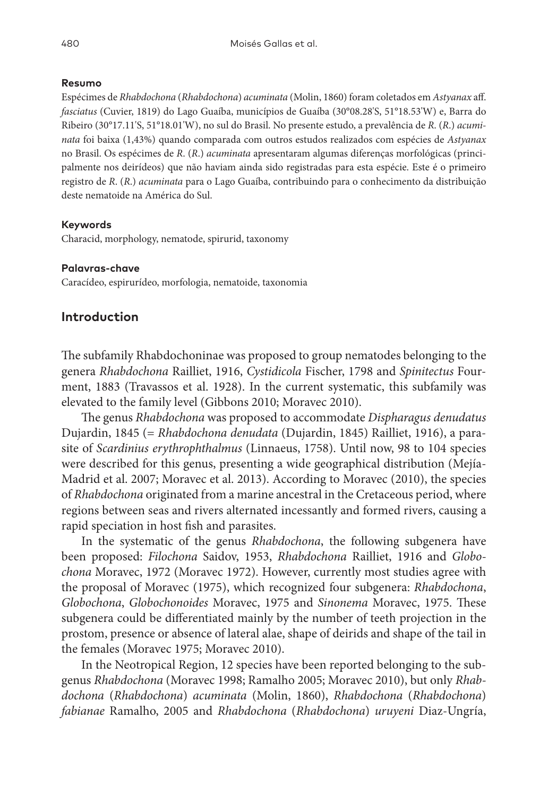#### **Resumo**

Espécimes de *Rhabdochona* (*Rhabdochona*) *acuminata* (Molin, 1860) foram coletados em *Astyanax* aff. *fasciatus* (Cuvier, 1819) do Lago Guaíba, municípios de Guaíba (30°08.28'S, 51°18.53'W) e, Barra do Ribeiro (30°17.11'S, 51°18.01'W), no sul do Brasil. No presente estudo, a prevalência de *R*. (*R*.) *acuminata* foi baixa (1,43%) quando comparada com outros estudos realizados com espécies de *Astyanax* no Brasil. Os espécimes de *R*. (*R*.) *acuminata* apresentaram algumas diferenças morfológicas (principalmente nos deirídeos) que não haviam ainda sido registradas para esta espécie. Este é o primeiro registro de *R*. (*R*.) *acuminata* para o Lago Guaíba, contribuindo para o conhecimento da distribuição deste nematoide na América do Sul.

#### **Keywords**

Characid, morphology, nematode, spirurid, taxonomy

#### **Palavras-chave**

Caracídeo, espirurídeo, morfologia, nematoide, taxonomia

## **Introduction**

The subfamily Rhabdochoninae was proposed to group nematodes belonging to the genera *Rhabdochona* Railliet, 1916, *Cystidicola* Fischer, 1798 and *Spinitectus* Fourment, 1883 (Travassos et al. 1928). In the current systematic, this subfamily was elevated to the family level (Gibbons 2010; Moravec 2010).

The genus *Rhabdochona* was proposed to accommodate *Dispharagus denudatus* Dujardin, 1845 (= *Rhabdochona denudata* (Dujardin, 1845) Railliet, 1916), a parasite of *Scardinius erythrophthalmus* (Linnaeus, 1758). Until now, 98 to 104 species were described for this genus, presenting a wide geographical distribution (Mejía-Madrid et al. 2007; Moravec et al. 2013). According to Moravec (2010), the species of *Rhabdochona* originated from a marine ancestral in the Cretaceous period, where regions between seas and rivers alternated incessantly and formed rivers, causing a rapid speciation in host fish and parasites.

In the systematic of the genus *Rhabdochona*, the following subgenera have been proposed: *Filochona* Saidov, 1953, *Rhabdochona* Railliet, 1916 and *Globochona* Moravec, 1972 (Moravec 1972). However, currently most studies agree with the proposal of Moravec (1975), which recognized four subgenera: *Rhabdochona*, *Globochona*, *Globochonoides* Moravec, 1975 and *Sinonema* Moravec, 1975. These subgenera could be differentiated mainly by the number of teeth projection in the prostom, presence or absence of lateral alae, shape of deirids and shape of the tail in the females (Moravec 1975; Moravec 2010).

In the Neotropical Region, 12 species have been reported belonging to the subgenus *Rhabdochona* (Moravec 1998; Ramalho 2005; Moravec 2010), but only *Rhabdochona* (*Rhabdochona*) *acuminata* (Molin, 1860), *Rhabdochona* (*Rhabdochona*) *fabianae* Ramalho, 2005 and *Rhabdochona* (*Rhabdochona*) *uruyeni* Diaz-Ungría,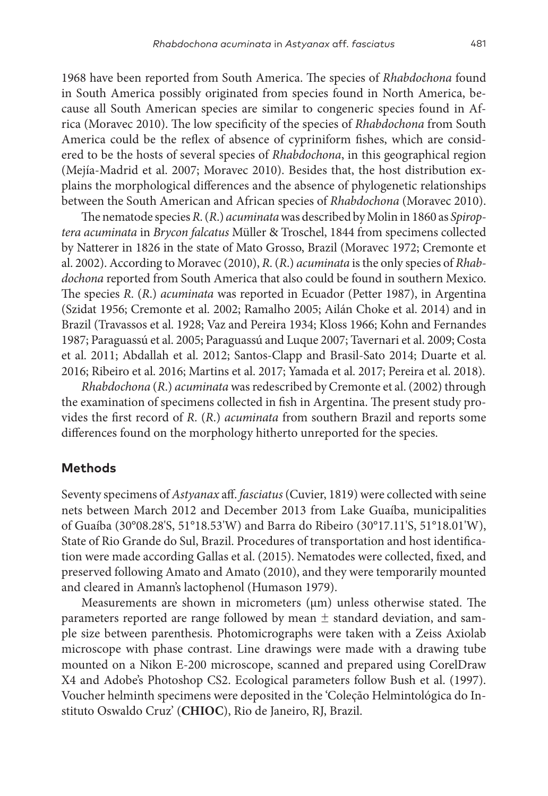1968 have been reported from South America. The species of *Rhabdochona* found in South America possibly originated from species found in North America, because all South American species are similar to congeneric species found in Africa (Moravec 2010). The low specificity of the species of *Rhabdochona* from South America could be the reflex of absence of cypriniform fishes, which are considered to be the hosts of several species of *Rhabdochona*, in this geographical region (Mejía-Madrid et al. 2007; Moravec 2010). Besides that, the host distribution explains the morphological differences and the absence of phylogenetic relationships between the South American and African species of *Rhabdochona* (Moravec 2010).

The nematode species *R*. (*R*.) *acuminata* was described by Molin in 1860 as *Spiroptera acuminata* in *Brycon falcatus* Müller & Troschel, 1844 from specimens collected by Natterer in 1826 in the state of Mato Grosso, Brazil (Moravec 1972; Cremonte et al. 2002). According to Moravec (2010), *R*. (*R*.) *acuminata* is the only species of *Rhabdochona* reported from South America that also could be found in southern Mexico. The species *R*. (*R*.) *acuminata* was reported in Ecuador (Petter 1987), in Argentina (Szidat 1956; Cremonte et al. 2002; Ramalho 2005; Ailán Choke et al. 2014) and in Brazil (Travassos et al. 1928; Vaz and Pereira 1934; Kloss 1966; Kohn and Fernandes 1987; Paraguassú et al. 2005; Paraguassú and Luque 2007; Tavernari et al. 2009; Costa et al. 2011; Abdallah et al. 2012; Santos-Clapp and Brasil-Sato 2014; Duarte et al. 2016; Ribeiro et al. 2016; Martins et al. 2017; Yamada et al. 2017; Pereira et al. 2018).

*Rhabdochona* (*R*.) *acuminata* was redescribed by Cremonte et al. (2002) through the examination of specimens collected in fish in Argentina. The present study provides the first record of *R*. (*R*.) *acuminata* from southern Brazil and reports some differences found on the morphology hitherto unreported for the species.

#### **Methods**

Seventy specimens of *Astyanax* aff. *fasciatus* (Cuvier, 1819) were collected with seine nets between March 2012 and December 2013 from Lake Guaíba, municipalities of Guaíba (30°08.28'S, 51°18.53'W) and Barra do Ribeiro (30°17.11'S, 51°18.01'W), State of Rio Grande do Sul, Brazil. Procedures of transportation and host identification were made according Gallas et al. (2015). Nematodes were collected, fixed, and preserved following Amato and Amato (2010), and they were temporarily mounted and cleared in Amann's lactophenol (Humason 1979).

Measurements are shown in micrometers ( $\mu$ m) unless otherwise stated. The parameters reported are range followed by mean  $\pm$  standard deviation, and sample size between parenthesis. Photomicrographs were taken with a Zeiss Axiolab microscope with phase contrast. Line drawings were made with a drawing tube mounted on a Nikon E-200 microscope, scanned and prepared using CorelDraw X4 and Adobe's Photoshop CS2. Ecological parameters follow Bush et al. (1997). Voucher helminth specimens were deposited in the 'Coleção Helmintológica do Instituto Oswaldo Cruz' (**CHIOC**), Rio de Janeiro, RJ, Brazil.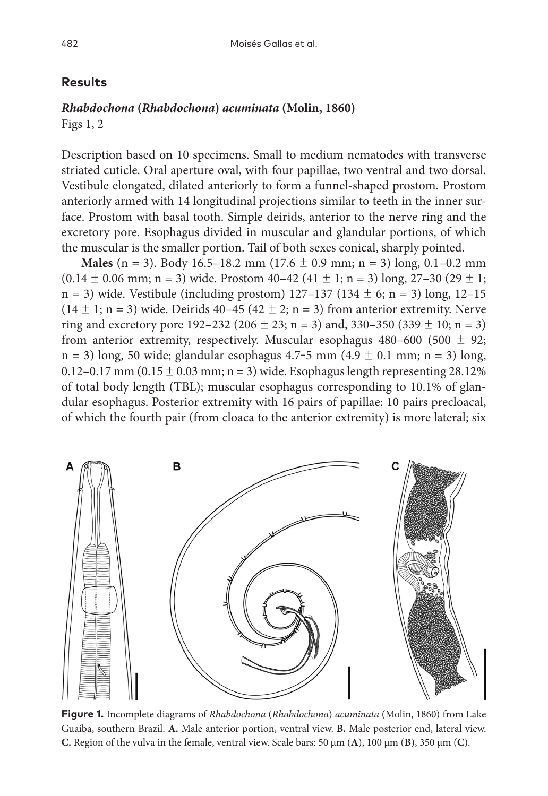#### **Results**

## *Rhabdochona* **(***Rhabdochona***)** *acuminata* **(Molin, 1860)**

Figs 1, 2

Description based on 10 specimens. Small to medium nematodes with transverse striated cuticle. Oral aperture oval, with four papillae, two ventral and two dorsal. Vestibule elongated, dilated anteriorly to form a funnel-shaped prostom. Prostom anteriorly armed with 14 longitudinal projections similar to teeth in the inner surface. Prostom with basal tooth. Simple deirids, anterior to the nerve ring and the excretory pore. Esophagus divided in muscular and glandular portions, of which the muscular is the smaller portion. Tail of both sexes conical, sharply pointed.

**Males** (n = 3). Body 16.5–18.2 mm (17.6  $\pm$  0.9 mm; n = 3) long, 0.1–0.2 mm  $(0.14 \pm 0.06 \text{ mm}; n = 3)$  wide. Prostom  $40-42$   $(41 \pm 1; n = 3)$  long,  $27-30$   $(29 \pm 1;$  $n = 3$ ) wide. Vestibule (including prostom) 127–137 (134  $\pm$  6; n = 3) long, 12–15  $(14 \pm 1; n = 3)$  wide. Deirids 40–45  $(42 \pm 2; n = 3)$  from anterior extremity. Nerve ring and excretory pore  $192-232$  ( $206 \pm 23$ ; n = 3) and,  $330-350$  ( $339 \pm 10$ ; n = 3) from anterior extremity, respectively. Muscular esophagus 480–600 (500  $\pm$  92;  $n = 3$ ) long, 50 wide; glandular esophagus 4.7–5 mm (4.9  $\pm$  0.1 mm; n = 3) long, 0.12–0.17 mm (0.15  $\pm$  0.03 mm; n = 3) wide. Esophagus length representing 28.12% of total body length (TBL); muscular esophagus corresponding to 10.1% of glandular esophagus. Posterior extremity with 16 pairs of papillae: 10 pairs precloacal, of which the fourth pair (from cloaca to the anterior extremity) is more lateral; six



**Figure 1.** Incomplete diagrams of *Rhabdochona* (*Rhabdochona*) *acuminata* (Molin, 1860) from Lake Guaíba, southern Brazil. **A.** Male anterior portion, ventral view. **B.** Male posterior end, lateral view. **C.** Region of the vulva in the female, ventral view. Scale bars:  $50 \mu m$  (**A**),  $100 \mu m$  (**B**),  $350 \mu m$  (**C**).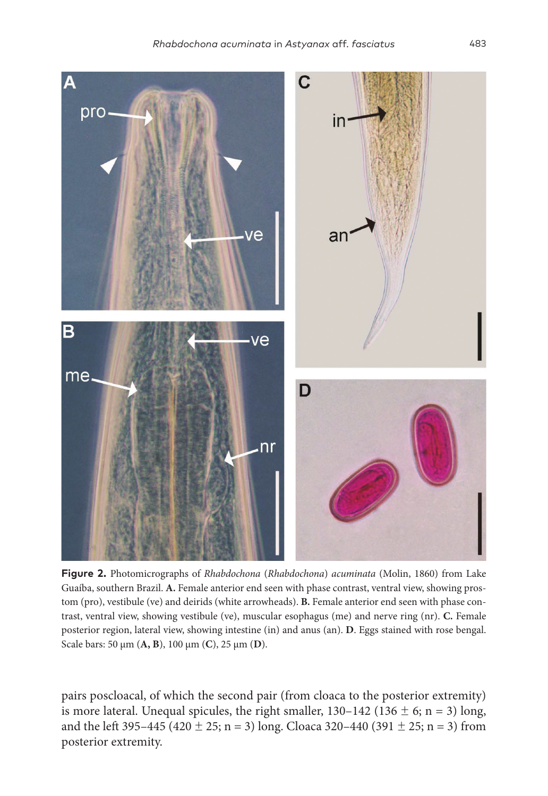

**Figure 2.** Photomicrographs of *Rhabdochona* (*Rhabdochona*) *acuminata* (Molin, 1860) from Lake Guaíba, southern Brazil. **A.** Female anterior end seen with phase contrast, ventral view, showing prostom (pro), vestibule (ve) and deirids (white arrowheads). **B.** Female anterior end seen with phase contrast, ventral view, showing vestibule (ve), muscular esophagus (me) and nerve ring (nr). **C.** Female posterior region, lateral view, showing intestine (in) and anus (an). **D**. Eggs stained with rose bengal. Scale bars: 50 µm (**A, B**), 100 µm (**C**), 25 µm (**D**).

pairs poscloacal, of which the second pair (from cloaca to the posterior extremity) is more lateral. Unequal spicules, the right smaller,  $130-142$  ( $136 \pm 6$ ; n = 3) long, and the left 395–445 (420  $\pm$  25; n = 3) long. Cloaca 320–440 (391  $\pm$  25; n = 3) from posterior extremity.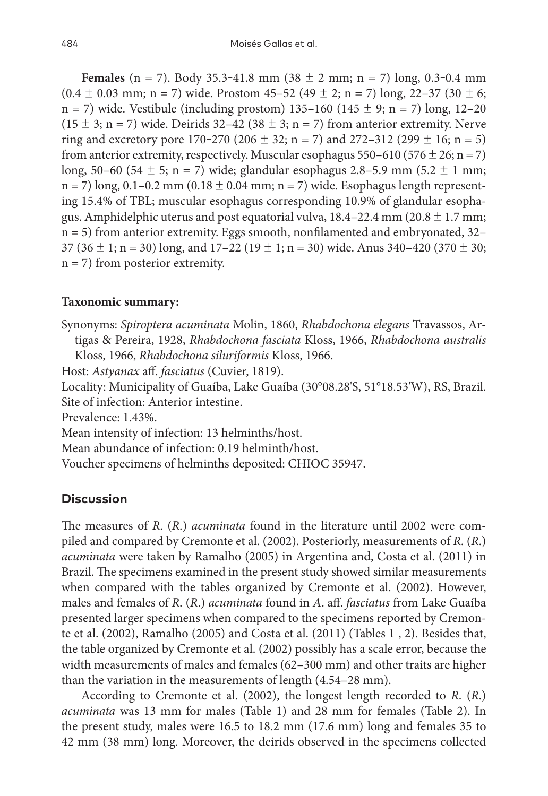**Females** (n = 7). Body 35.3-41.8 mm (38  $\pm$  2 mm; n = 7) long, 0.3-0.4 mm  $(0.4 \pm 0.03 \text{ mm}; \text{ n = 7})$  wide. Prostom  $45-52$   $(49 \pm 2; \text{ n = 7})$  long,  $22-37$   $(30 \pm 6;$  $n = 7$ ) wide. Vestibule (including prostom) 135–160 (145 ± 9; n = 7) long, 12–20  $(15 \pm 3; n = 7)$  wide. Deirids 32–42 (38  $\pm$  3; n = 7) from anterior extremity. Nerve ring and excretory pore  $170-270$  ( $206 \pm 32$ ; n = 7) and  $272-312$  ( $299 \pm 16$ ; n = 5) from anterior extremity, respectively. Muscular esophagus 550–610 (576  $\pm$  26; n = 7) long, 50–60 (54  $\pm$  5; n = 7) wide; glandular esophagus 2.8–5.9 mm (5.2  $\pm$  1 mm;  $n = 7$ ) long, 0.1–0.2 mm (0.18  $\pm$  0.04 mm; n = 7) wide. Esophagus length representing 15.4% of TBL; muscular esophagus corresponding 10.9% of glandular esophagus. Amphidelphic uterus and post equatorial vulva,  $18.4-22.4$  mm ( $20.8 \pm 1.7$  mm;  $n = 5$ ) from anterior extremity. Eggs smooth, nonfilamented and embryonated, 32– 37 (36  $\pm$  1; n = 30) long, and 17-22 (19  $\pm$  1; n = 30) wide. Anus 340-420 (370  $\pm$  30;  $n = 7$ ) from posterior extremity.

### **Taxonomic summary:**

Synonyms: *Spiroptera acuminata* Molin, 1860, *Rhabdochona elegans* Travassos, Artigas & Pereira, 1928, *Rhabdochona fasciata* Kloss, 1966, *Rhabdochona australis* Kloss, 1966, *Rhabdochona siluriformis* Kloss, 1966. Host: *Astyanax* aff. *fasciatus* (Cuvier, 1819).

Locality: Municipality of Guaíba, Lake Guaíba (30°08.28'S, 51°18.53'W), RS, Brazil. Site of infection: Anterior intestine.

Prevalence: 1.43%.

Mean intensity of infection: 13 helminths/host.

Mean abundance of infection: 0.19 helminth/host.

Voucher specimens of helminths deposited: CHIOC 35947.

## **Discussion**

The measures of *R*. (*R*.) *acuminata* found in the literature until 2002 were compiled and compared by Cremonte et al. (2002). Posteriorly, measurements of *R*. (*R*.) *acuminata* were taken by Ramalho (2005) in Argentina and, Costa et al. (2011) in Brazil. The specimens examined in the present study showed similar measurements when compared with the tables organized by Cremonte et al. (2002). However, males and females of *R*. (*R*.) *acuminata* found in *A*. aff. *fasciatus* from Lake Guaíba presented larger specimens when compared to the specimens reported by Cremonte et al. (2002), Ramalho (2005) and Costa et al. (2011) (Tables 1 , 2). Besides that, the table organized by Cremonte et al. (2002) possibly has a scale error, because the width measurements of males and females (62–300 mm) and other traits are higher than the variation in the measurements of length (4.54–28 mm).

According to Cremonte et al. (2002), the longest length recorded to *R*. (*R*.) *acuminata* was 13 mm for males (Table 1) and 28 mm for females (Table 2). In the present study, males were 16.5 to 18.2 mm (17.6 mm) long and females 35 to 42 mm (38 mm) long. Moreover, the deirids observed in the specimens collected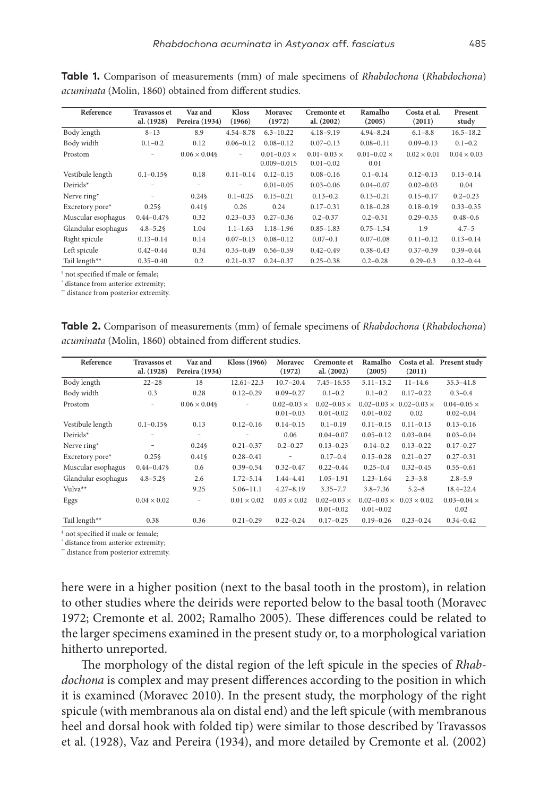| Reference           | <b>Travassos et</b> | Vaz and            | <b>Kloss</b>      | Moravec              | <b>Cremonte et</b>   | Ramalho              | Costa et al.       | Present            |
|---------------------|---------------------|--------------------|-------------------|----------------------|----------------------|----------------------|--------------------|--------------------|
|                     | al. (1928)          | Pereira (1934)     | (1966)            | (1972)               | al. (2002)           | (2005)               | (2011)             | study              |
| Body length         | $8 - 13$            | 8.9                | $4.54 - 8.78$     | $6.3 - 10.22$        | $4.18 - 9.19$        | $4.94 - 8.24$        | $6.1 - 8.8$        | $16.5 - 18.2$      |
| Body width          | $0.1 - 0.2$         | 0.12               | $0.06 - 0.12$     | $0.08 - 0.12$        | $0.07 - 0.13$        | $0.08 - 0.11$        | $0.09 - 0.13$      | $0.1 - 0.2$        |
| Prostom             | -                   | $0.06 \times 0.04$ | ۰                 | $0.01 - 0.03 \times$ | $0.01 - 0.03 \times$ | $0.01 - 0.02 \times$ | $0.02 \times 0.01$ | $0.04 \times 0.03$ |
|                     |                     |                    |                   | $0.009 - 0.015$      | $0.01 - 0.02$        | 0.01                 |                    |                    |
| Vestibule length    | $0.1 - 0.15$        | 0.18               | $0.11 - 0.14$     | $0.12 - 0.15$        | $0.08 - 0.16$        | $0.1 - 0.14$         | $0.12 - 0.13$      | $0.13 - 0.14$      |
| Deirids*            |                     | $\qquad \qquad -$  | $\qquad \qquad -$ | $0.01 - 0.05$        | $0.03 - 0.06$        | $0.04 - 0.07$        | $0.02 - 0.03$      | 0.04               |
| Nerve ring*         | -                   | 0.246              | $0.1 - 0.25$      | $0.15 - 0.21$        | $0.13 - 0.2$         | $0.13 - 0.21$        | $0.15 - 0.17$      | $0.2 - 0.23$       |
| Excretory pore*     | $0.25\%$            | $0.41\$            | 0.26              | 0.24                 | $0.17 - 0.31$        | $0.18 - 0.28$        | $0.18 - 0.19$      | $0.33 - 0.35$      |
| Muscular esophagus  | $0.44 - 0.47$       | 0.32               | $0.23 - 0.33$     | $0.27 - 0.36$        | $0.2 - 0.37$         | $0.2 - 0.31$         | $0.29 - 0.35$      | $0.48 - 0.6$       |
| Glandular esophagus | $4.8 - 5.2$         | 1.04               | $1.1 - 1.63$      | $1.18 - 1.96$        | $0.85 - 1.83$        | $0.75 - 1.54$        | 1.9                | $4.7 - 5$          |
| Right spicule       | $0.13 - 0.14$       | 0.14               | $0.07 - 0.13$     | $0.08 - 0.12$        | $0.07 - 0.1$         | $0.07 - 0.08$        | $0.11 - 0.12$      | $0.13 - 0.14$      |
| Left spicule        | $0.42 - 0.44$       | 0.34               | $0.35 - 0.49$     | $0.56 - 0.59$        | $0.42 - 0.49$        | $0.38 - 0.43$        | $0.37 - 0.39$      | $0.39 - 0.44$      |
| Tail length**       | $0.35 - 0.40$       | 0.2                | $0.21 - 0.37$     | $0.24 - 0.37$        | $0.25 - 0.38$        | $0.2 - 0.28$         | $0.29 - 0.3$       | $0.32 - 0.44$      |

**Table 1.** Comparison of measurements (mm) of male specimens of *Rhabdochona* (*Rhabdochona*) *acuminata* (Molin, 1860) obtained from different studies.

§ not specified if male or female;

\* distance from anterior extremity;

\*\* distance from posterior extremity.

**Table 2.** Comparison of measurements (mm) of female specimens of *Rhabdochona* (*Rhabdochona*) *acuminata* (Molin, 1860) obtained from different studies.

| Reference           | <b>Travassos et</b> | Vaz and            | Kloss (1966)       | Moravec                  | <b>Cremonte et</b>   | Ramalho              |                                         | Costa et al. Present study |
|---------------------|---------------------|--------------------|--------------------|--------------------------|----------------------|----------------------|-----------------------------------------|----------------------------|
|                     | al. (1928)          | Pereira (1934)     |                    | (1972)                   | al. $(2002)$         | (2005)               | (2011)                                  |                            |
| Body length         | $22 - 28$           | 18                 | $12.61 - 22.3$     | $10.7 - 20.4$            | $7.45 - 16.55$       | $5.11 - 15.2$        | $11 - 14.6$                             | $35.3 - 41.8$              |
| Body width          | 0.3                 | 0.28               | $0.12 - 0.29$      | $0.09 - 0.27$            | $0.1 - 0.2$          | $0.1 - 0.2$          | $0.17 - 0.22$                           | $0.3 - 0.4$                |
| Prostom             | -                   | $0.06 \times 0.04$ | $\equiv$           | $0.02 - 0.03 \times$     | $0.02 - 0.03 \times$ |                      | $0.02 - 0.03 \times 0.02 - 0.03 \times$ | $0.04 - 0.05 \times$       |
|                     |                     |                    |                    | $0.01 - 0.03$            | $0.01 - 0.02$        | $0.01 - 0.02$        | 0.02                                    | $0.02 - 0.04$              |
| Vestibule length    | $0.1 - 0.15$        | 0.13               | $0.12 - 0.16$      | $0.14 - 0.15$            | $0.1 - 0.19$         | $0.11 - 0.15$        | $0.11 - 0.13$                           | $0.13 - 0.16$              |
| Deirids*            |                     | -                  |                    | 0.06                     | $0.04 - 0.07$        | $0.05 - 0.12$        | $0.03 - 0.04$                           | $0.03 - 0.04$              |
| Nerve ring*         |                     | $0.24\%$           | $0.21 - 0.37$      | $0.2 - 0.27$             | $0.13 - 0.23$        | $0.14 - 0.2$         | $0.13 - 0.22$                           | $0.17 - 0.27$              |
| Excretory pore*     | $0.25\$             | $0.41\$            | $0.28 - 0.41$      | $\overline{\phantom{a}}$ | $0.17 - 0.4$         | $0.15 - 0.28$        | $0.21 - 0.27$                           | $0.27 - 0.31$              |
| Muscular esophagus  | $0.44 - 0.47$       | 0.6                | $0.39 - 0.54$      | $0.32 - 0.47$            | $0.22 - 0.44$        | $0.25 - 0.4$         | $0.32 - 0.45$                           | $0.55 - 0.61$              |
| Glandular esophagus | $4.8 - 5.2$         | 2.6                | $1.72 - 5.14$      | $1.44 - 4.41$            | $1.05 - 1.91$        | $1.23 - 1.64$        | $2.3 - 3.8$                             | $2.8 - 5.9$                |
| Vulva <sup>**</sup> |                     | 9.25               | $5.06 - 11.1$      | $4.27 - 8.19$            | $3.35 - 7.7$         | $3.8 - 7.36$         | $5.2 - 8$                               | $18.4 - 22.4$              |
| Eggs                | $0.04 \times 0.02$  | -                  | $0.01 \times 0.02$ | $0.03 \times 0.02$       | $0.02 - 0.03 \times$ | $0.02 - 0.03 \times$ | $0.03 \times 0.02$                      | $0.03 - 0.04 \times$       |
|                     |                     |                    |                    |                          | $0.01 - 0.02$        | $0.01 - 0.02$        |                                         | 0.02                       |
| Tail length**       | 0.38                | 0.36               | $0.21 - 0.29$      | $0.22 - 0.24$            | $0.17 - 0.25$        | $0.19 - 0.26$        | $0.23 - 0.24$                           | $0.34 - 0.42$              |

§ not specified if male or female;

\* distance from anterior extremity;

\*\* distance from posterior extremity.

here were in a higher position (next to the basal tooth in the prostom), in relation to other studies where the deirids were reported below to the basal tooth (Moravec 1972; Cremonte et al. 2002; Ramalho 2005). These differences could be related to the larger specimens examined in the present study or, to a morphological variation hitherto unreported.

The morphology of the distal region of the left spicule in the species of *Rhabdochona* is complex and may present differences according to the position in which it is examined (Moravec 2010). In the present study, the morphology of the right spicule (with membranous ala on distal end) and the left spicule (with membranous heel and dorsal hook with folded tip) were similar to those described by Travassos et al. (1928), Vaz and Pereira (1934), and more detailed by Cremonte et al. (2002)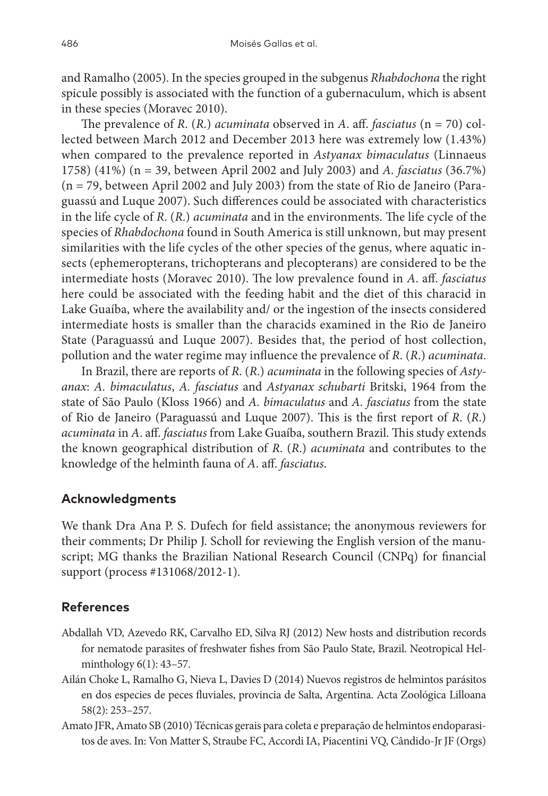and Ramalho (2005). In the species grouped in the subgenus *Rhabdochona* the right spicule possibly is associated with the function of a gubernaculum, which is absent in these species (Moravec 2010).

The prevalence of *R*. (*R*.) *acuminata* observed in *A*. aff. *fasciatus* (n = 70) collected between March 2012 and December 2013 here was extremely low (1.43%) when compared to the prevalence reported in *Astyanax bimaculatus* (Linnaeus 1758) (41%) (n = 39, between April 2002 and July 2003) and *A. fasciatus* (36.7%) (n = 79, between April 2002 and July 2003) from the state of Rio de Janeiro (Paraguassú and Luque 2007). Such differences could be associated with characteristics in the life cycle of *R*. (*R*.) *acuminata* and in the environments. The life cycle of the species of *Rhabdochona* found in South America is still unknown, but may present similarities with the life cycles of the other species of the genus, where aquatic insects (ephemeropterans, trichopterans and plecopterans) are considered to be the intermediate hosts (Moravec 2010). The low prevalence found in *A*. aff. *fasciatus* here could be associated with the feeding habit and the diet of this characid in Lake Guaíba, where the availability and/ or the ingestion of the insects considered intermediate hosts is smaller than the characids examined in the Rio de Janeiro State (Paraguassú and Luque 2007). Besides that, the period of host collection, pollution and the water regime may influence the prevalence of *R*. (*R*.) *acuminata*.

In Brazil, there are reports of *R*. (*R*.) *acuminata* in the following species of *Astyanax*: *A. bimaculatus*, *A. fasciatus* and *Astyanax schubarti* Britski, 1964 from the state of São Paulo (Kloss 1966) and *A. bimaculatus* and *A. fasciatus* from the state of Rio de Janeiro (Paraguassú and Luque 2007). This is the first report of *R*. (*R*.) *acuminata* in *A*. aff. *fasciatus* from Lake Guaíba, southern Brazil. This study extends the known geographical distribution of *R*. (*R*.) *acuminata* and contributes to the knowledge of the helminth fauna of *A*. aff. *fasciatus*.

## **Acknowledgments**

We thank Dra Ana P. S. Dufech for field assistance; the anonymous reviewers for their comments; Dr Philip J. Scholl for reviewing the English version of the manuscript; MG thanks the Brazilian National Research Council (CNPq) for financial support (process #131068/2012-1).

## **References**

- Abdallah VD, Azevedo RK, Carvalho ED, Silva RJ (2012) New hosts and distribution records for nematode parasites of freshwater fishes from São Paulo State, Brazil. Neotropical Helminthology 6(1): 43–57.
- Ailán Choke L, Ramalho G, Nieva L, Davies D (2014) Nuevos registros de helmintos parásitos en dos especies de peces fluviales, provincia de Salta, Argentina. Acta Zoológica Lilloana 58(2): 253–257.
- Amato JFR, Amato SB (2010) Técnicas gerais para coleta e preparação de helmintos endoparasitos de aves. In: Von Matter S, Straube FC, Accordi IA, Piacentini VQ, Cândido-Jr JF (Orgs)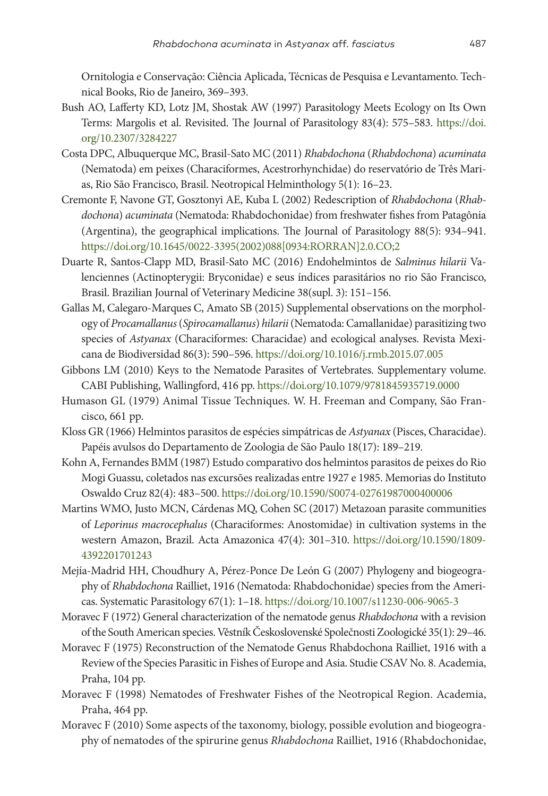Ornitologia e Conservação: Ciência Aplicada, Técnicas de Pesquisa e Levantamento. Technical Books, Rio de Janeiro, 369–393.

- Bush AO, Lafferty KD, Lotz JM, Shostak AW (1997) Parasitology Meets Ecology on Its Own Terms: Margolis et al. Revisited. The Journal of Parasitology 83(4): 575–583. [https://doi.](https://doi.org/10.2307/3284227) [org/10.2307/3284227](https://doi.org/10.2307/3284227)
- Costa DPC, Albuquerque MC, Brasil-Sato MC (2011) *Rhabdochona* (*Rhabdochona*) *acuminata* (Nematoda) em peixes (Characiformes, Acestrorhynchidae) do reservatório de Três Marias, Rio São Francisco, Brasil. Neotropical Helminthology 5(1): 16–23.
- Cremonte F, Navone GT, Gosztonyi AE, Kuba L (2002) Redescription of *Rhabdochona* (*Rhabdochona*) *acuminata* (Nematoda: Rhabdochonidae) from freshwater fishes from Patagônia (Argentina), the geographical implications. The Journal of Parasitology 88(5): 934–941. [https://doi.org/10.1645/0022-3395\(2002\)088\[0934:RORRAN\]2.0.CO;2](https://doi.org/10.1645/0022-3395(2002)088%5B0934:RORRAN%5D2.0.CO;2)
- Duarte R, Santos-Clapp MD, Brasil-Sato MC (2016) Endohelmintos de *Salminus hilarii* Valenciennes (Actinopterygii: Bryconidae) e seus índices parasitários no rio São Francisco, Brasil. Brazilian Journal of Veterinary Medicine 38(supl. 3): 151–156.
- Gallas M, Calegaro-Marques C, Amato SB (2015) Supplemental observations on the morphology of *Procamallanus* (*Spirocamallanus*) *hilarii* (Nematoda: Camallanidae) parasitizing two species of *Astyanax* (Characiformes: Characidae) and ecological analyses. Revista Mexicana de Biodiversidad 86(3): 590–596.<https://doi.org/10.1016/j.rmb.2015.07.005>
- Gibbons LM (2010) Keys to the Nematode Parasites of Vertebrates. Supplementary volume. CABI Publishing, Wallingford, 416 pp. <https://doi.org/10.1079/9781845935719.0000>
- Humason GL (1979) Animal Tissue Techniques. W. H. Freeman and Company, São Francisco, 661 pp.
- Kloss GR (1966) Helmintos parasitos de espécies simpátricas de *Astyanax* (Pisces, Characidae). Papéis avulsos do Departamento de Zoologia de São Paulo 18(17): 189–219.
- Kohn A, Fernandes BMM (1987) Estudo comparativo dos helmintos parasitos de peixes do Rio Mogi Guassu, coletados nas excursões realizadas entre 1927 e 1985. Memorias do Instituto Oswaldo Cruz 82(4): 483–500.<https://doi.org/10.1590/S0074-02761987000400006>
- Martins WMO, Justo MCN, Cárdenas MQ, Cohen SC (2017) Metazoan parasite communities of *Leporinus macrocephalus* (Characiformes: Anostomidae) in cultivation systems in the western Amazon, Brazil. Acta Amazonica 47(4): 301–310. [https://doi.org/10.1590/1809-](https://doi.org/10.1590/1809-4392201701243) [4392201701243](https://doi.org/10.1590/1809-4392201701243)
- Mejía-Madrid HH, Choudhury A, Pérez-Ponce De León G (2007) Phylogeny and biogeography of *Rhabdochona* Railliet, 1916 (Nematoda: Rhabdochonidae) species from the Americas. Systematic Parasitology 67(1): 1–18.<https://doi.org/10.1007/s11230-006-9065-3>
- Moravec F (1972) General characterization of the nematode genus *Rhabdochona* with a revision of the South American species. Věstník Československé Společnosti Zoologické 35(1): 29–46.
- Moravec F (1975) Reconstruction of the Nematode Genus Rhabdochona Railliet, 1916 with a Review of the Species Parasitic in Fishes of Europe and Asia. Studie CSAV No. 8. Academia, Praha, 104 pp.
- Moravec F (1998) Nematodes of Freshwater Fishes of the Neotropical Region. Academia, Praha, 464 pp.
- Moravec F (2010) Some aspects of the taxonomy, biology, possible evolution and biogeography of nematodes of the spirurine genus *Rhabdochona* Railliet, 1916 (Rhabdochonidae,